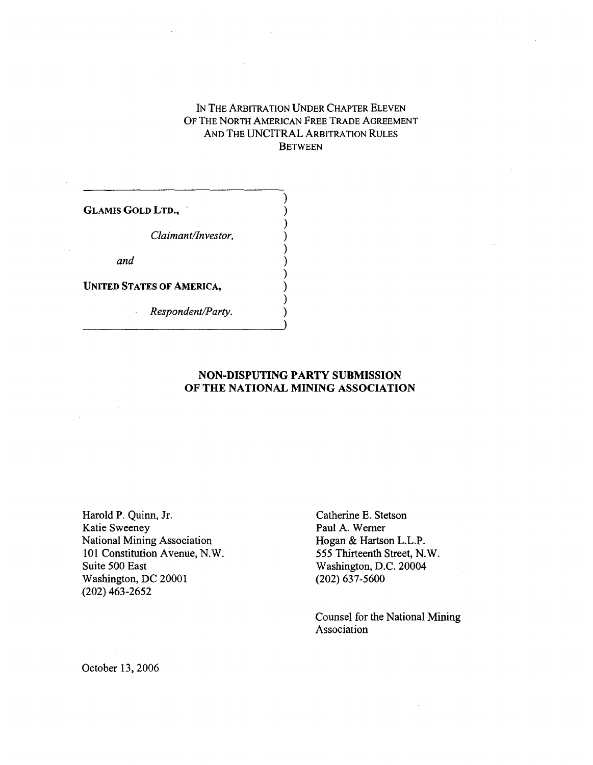# IN THE ARBITRATION UNDER CHAPTER ELEVEN OF THE NORTH AMERICAN FREE TRADE AGREEMENT AND THE UNCITRAL ARBITRATION RULES **BETWEEN** IN THE ARBITRATION<br>
OF THE NORTH AMERIC<br>
AND THE UNCITR<br>
B<br>
B<br>
GLAMIS GOLD LTD.,<br>
()<br>
Claimant/Investor,

)

**)**

**)**

*Claimant/Investor, )*

*and )*

GLAMIS GOLD LTD.,<br>
()<br>
Claimant/Investor,<br>
()<br>
and<br>
()<br>
UNITED STATES OF AMERICA,<br>
()<br>
Respondent/Party.<br>
()

*Respondent/Party. )*

### **NON-DISPUTING PARTY SUBMISSION OF THE NATIONAL MINING ASSOCIATION**

Harold P. Quinn, Jr.<br>
Katie Sweeney Paul A. Werner<br>
Paul A. Werner Katie Sweeney National Mining Association Hogan & Hartson L.L.P. 101 Constitution Avenue, N.W. 555 Thirteenth Street, N.W.<br>Suite 500 East Washington, D.C. 20004 Washington, DC 20001 (202) 463-2652

Washington, D.C. 20004<br>(202) 637-5600

Counsel for the National Mining Association

October 13, 2006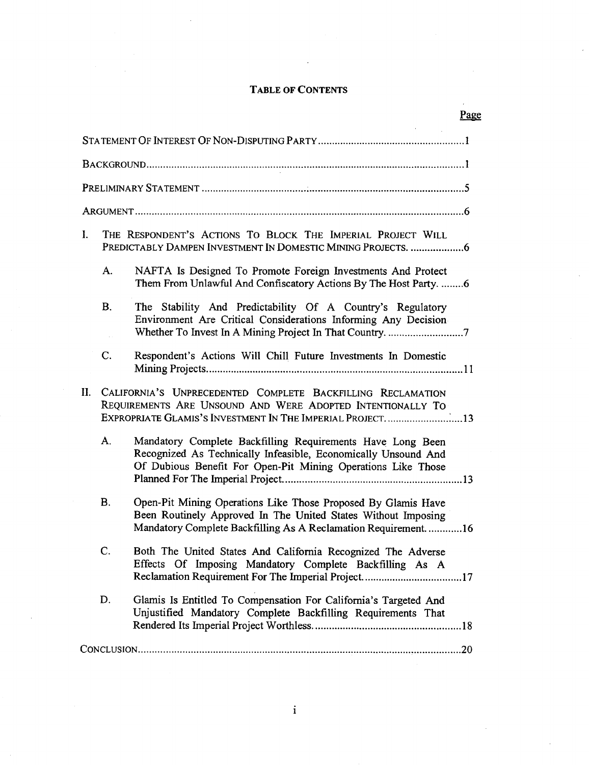### **TABLE OF CONTENTS**

| <b>TABLE OF CONTENTS</b> |                                                                                                                                                                                          |                                                                                                                                                                                                   |     |
|--------------------------|------------------------------------------------------------------------------------------------------------------------------------------------------------------------------------------|---------------------------------------------------------------------------------------------------------------------------------------------------------------------------------------------------|-----|
|                          |                                                                                                                                                                                          |                                                                                                                                                                                                   | Pag |
|                          |                                                                                                                                                                                          |                                                                                                                                                                                                   |     |
|                          |                                                                                                                                                                                          |                                                                                                                                                                                                   |     |
|                          |                                                                                                                                                                                          |                                                                                                                                                                                                   |     |
|                          |                                                                                                                                                                                          |                                                                                                                                                                                                   |     |
| L                        |                                                                                                                                                                                          | THE RESPONDENT'S ACTIONS TO BLOCK THE IMPERIAL PROJECT WILL<br>PREDICTABLY DAMPEN INVESTMENT IN DOMESTIC MINING PROJECTS. 6                                                                       |     |
|                          | A.                                                                                                                                                                                       | NAFTA Is Designed To Promote Foreign Investments And Protect<br>Them From Unlawful And Confiscatory Actions By The Host Party.  6                                                                 |     |
|                          | <b>B.</b>                                                                                                                                                                                | The Stability And Predictability Of A Country's Regulatory<br>Environment Are Critical Considerations Informing Any Decision                                                                      |     |
|                          | C.                                                                                                                                                                                       | Respondent's Actions Will Chill Future Investments In Domestic                                                                                                                                    |     |
| II.                      | CALIFORNIA'S UNPRECEDENTED COMPLETE BACKFILLING RECLAMATION<br>REQUIREMENTS ARE UNSOUND AND WERE ADOPTED INTENTIONALLY TO<br>EXPROPRIATE GLAMIS'S INVESTMENT IN THE IMPERIAL PROJECT. 13 |                                                                                                                                                                                                   |     |
|                          | А.                                                                                                                                                                                       | Mandatory Complete Backfilling Requirements Have Long Been<br>Recognized As Technically Infeasible, Economically Unsound And<br>Of Dubious Benefit For Open-Pit Mining Operations Like Those      |     |
|                          | <b>B.</b>                                                                                                                                                                                | Open-Pit Mining Operations Like Those Proposed By Glamis Have<br>Been Routinely Approved In The United States Without Imposing<br>Mandatory Complete Backfilling As A Reclamation Requirement. 16 |     |
|                          | C.                                                                                                                                                                                       | Both The United States And California Recognized The Adverse<br>Effects Of Imposing Mandatory Complete Backfilling As A                                                                           |     |
|                          | D.                                                                                                                                                                                       | Glamis Is Entitled To Compensation For California's Targeted And<br>Unjustified Mandatory Complete Backfilling Requirements That                                                                  |     |
|                          |                                                                                                                                                                                          |                                                                                                                                                                                                   |     |
|                          |                                                                                                                                                                                          |                                                                                                                                                                                                   |     |

### Page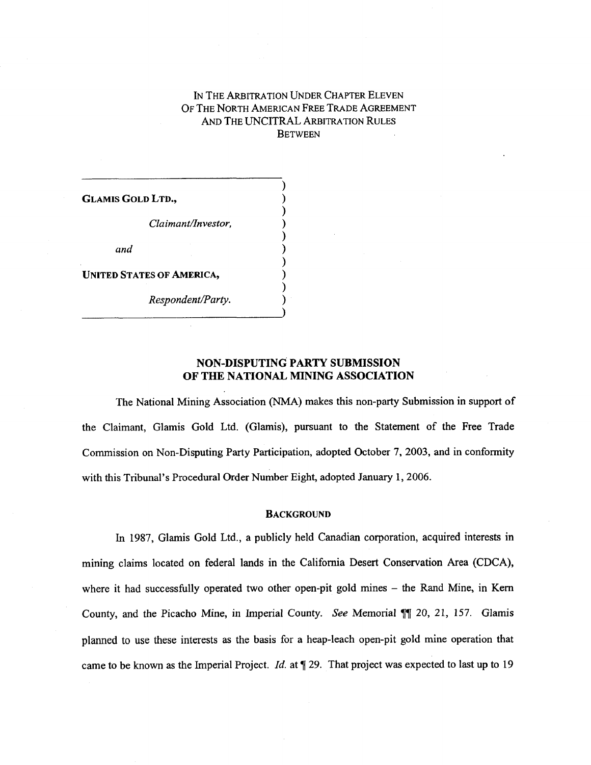### IN THE ARBITRATION UNDER CHAPTER ELEVEN OF THE NORTH AMERICAN FREE TRADE AGREEMENT AND THE UNCITRAL ARBITRATION RULES **BETWEEN**

)

**)**

IN THE ARBITRATION<br>
OF THE NORTH AMERIC<br>
AND THE UNCITR<br>
B<br>
B<br>
GLAMIS GOLD LTD.,<br>
(*Claimant/Investor*, IN THE ARBITRATION<br>
OF THE NORTH AMERIC<br>
AND THE UNCITR<br>
B<br>
B<br>
Claimant/Investor,<br>
()<br>
()<br>
() *an The Akbitkation*<br> *DF THE NORTH AMERIC*<br> *AND THE UNCITR*<br> *B*<br> *B*<br> *Claimant/Investor, ()<br>
<i>Claimant/Investor, ()*<br> *and*<br> *STATES OF AMERICA, ()* GLAMIS GOLD LTD.,<br>
()<br>
Claimant/Investor,<br>
()<br>
and<br>
()<br>
UNITED STATES OF AMERICA,<br>
()<br>
Respondent/Party. *Respondent/Party.*<br> *Respondent/Party.*<br> *Respondent/Party.*<br> *Respondent/Party.*<br> *Respondent/Party.* 

### **NON-DISPUTING PARTY SUBMISSION OF THE NATIONAL MINING ASSOCIATION**

The National Mining Association (NMA) makes this non-party Submission in support of the Claimant, Glamis Gold Ltd. (Glamis), pursuant to the Statement of the Free Trade Commission on Non-Disputing Party Participation, adopted October 7, 2003, and in conformity with this Tribunal's Procedural Order Number Eight, adopted January 1, 2006.

### **BACKGROUND**

In 1987, Glamis Gold Ltd., a publicly held Canadian corporation, acquired interests in mining claims located on federal lands in the California Desert Conservation Area (CDCA), where it had successfully operated two other open-pit gold mines – the Rand Mine, in Kern County, and the Picacho Mine, in Imperial County. *See* Memorial **¶¶** 20, 21, 157. Glamis planned to use these interests as the basis for a heap-leach open-pit gold mine operation that came to be known as the Imperial Project. *Id.* at ¶ 29. That project was expected to last up to 19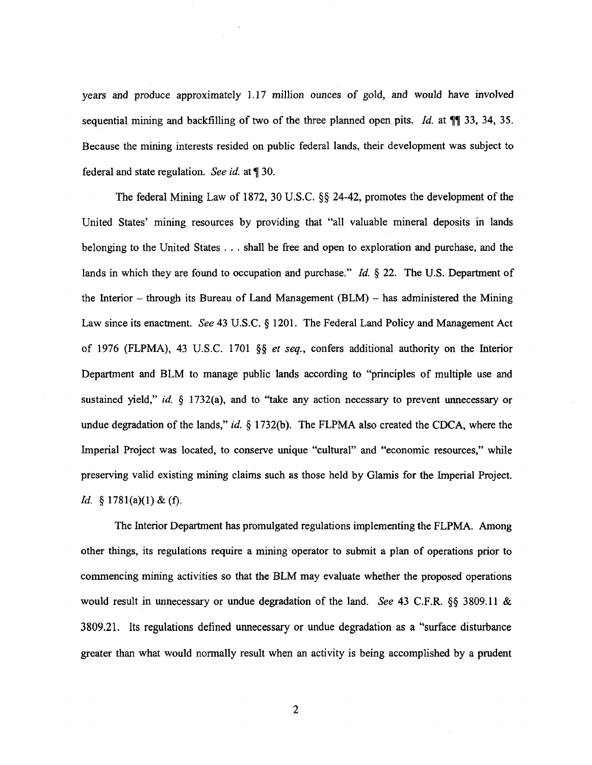years and produce approximately 1.17 million ounces of gold, and would have involved sequential mining and backfilling of two of the three planned open pits. *Id.* at ¶¶ 33, 34, 35. Because the mining interests resided on public federal lands, their development was subject to federal and state regulation. *See id. at* ¶ 30.

The federal Mining Law of 1872, 30 U.S.C. §§ 24-42, promotes the development of the United States' mining resources by providing that "all valuable mineral deposits in lands belonging to the United States . . . shall be free and open to exploration and purchase, and the lands in which they are found to occupation and purchase." *Id. §* 22. The U.S. Department of the Interior – through its Bureau of Land Management (BLM) – has administered the Mining Law since its enactment. *See* 43 U.S.C. § 1201. The Federal Land Policy and Management Act of 1976 (FLPMA), 43 U.S.C. 1701 §§ *et seq.,* confers additional authority on the Interior Department and BLM to manage public lands according to "principles of multiple use and sustained yield," *id. §* 1732(a), and to "take any action necessary to prevent unnecessary or undue degradation of the lands," *id. §* 1732(b). The FLPMA also created the CDCA, where the Imperial Project was located, to conserve unique "cultural" and "economic resources," while preserving valid existing mining claims such as those held by Glamis for the Imperial Project. *Id.* § 1781(a)(1) & (f).

The Interior Department has promulgated regulations implementing the FLPMA. Among other things, its regulations require a mining operator to submit a plan of operations prior to commencing mining activities so that the BLM may evaluate whether the proposed operations would result in unnecessary or undue degradation of the land. *See* 43 C.F.R. §§ 3809.11 & 3809.21. Its regulations defined unnecessary or undue degradation as a "surface disturbance greater than what would normally result when an activity is being accomplished by a prudent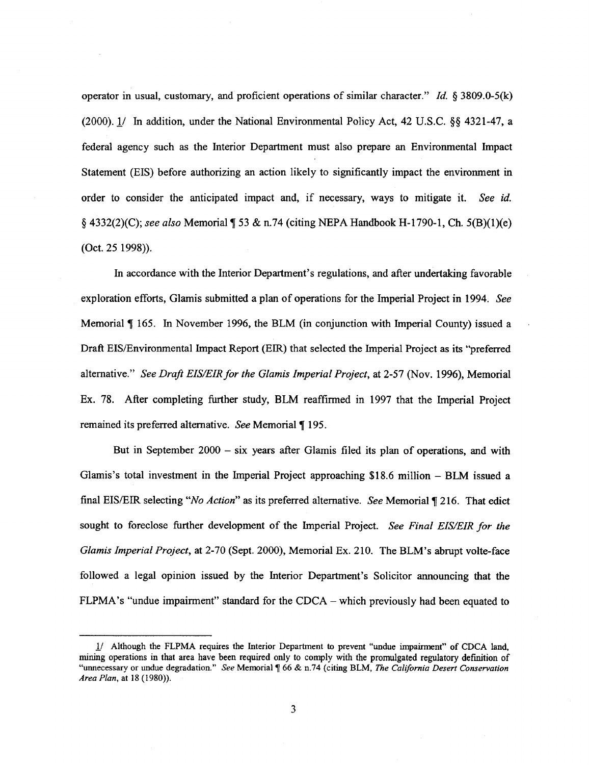operator in usual, customary, and proficient operations of similar character." *Id. §* 3809.0-5(k) (2000). 1/ In addition, under the National Environmental Policy Act, 42 U.S.C. §§ 4321-47, a federal agency such as the Interior Department must also prepare an Environmental Impact Statement (EIS) before authorizing an action likely to significantly impact the environment in order to consider the anticipated impact and, if necessary, ways to mitigate it. *See id.* § 4332(2)(C); *see also* Memorial ¶ 53 & n.74 (citing NEPA Handbook H-1790-1, Ch. 5(B)(1)(e) (Oct. 25 1998)).

In accordance with the Interior Department's regulations, and after undertaking favorable exploration efforts, Glamis submitted a plan of operations for the Imperial Project in 1994. *See* Memorial ¶ 165. In November 1996, the BLM (in conjunction with Imperial County) issued a Draft EIS/Environmental Impact Report (EIR) that selected the Imperial Project as its "preferred alternative." *See Draft EIS/EIR for the Glamis Imperial Project, at* 2-57 (Nov. 1996), Memorial Ex. 78. After completing further study, BLM reaffirmed in 1997 that the Imperial Project remained its preferred alternative. *See* Memorial ¶ 195.

But in September 2000 – six years after Glamis filed its plan of operations, and with Glamis's total investment in the Imperial Project approaching \$18.6 million – BLM issued a final EIS/EIR selecting *"No Action" as* its preferred alternative. *See* Memorial ¶ 216. That edict sought to foreclose further development of the Imperial Project. *See Final EIS/EIR for the Glamis Imperial Project, at* 2-70 (Sept. 2000), Memorial Ex. 210. The BLM's abrupt volte-face followed a legal opinion issued by the Interior Department's Solicitor announcing that the FLPMA's "undue impairment" standard for the CDCA – which previously had been equated to

<sup>1/</sup> Although the FLPMA requires the Interior Department to prevent "undue impairment" of CDCA land, mining operations in that area have been required only to comply with the promulgated regulatory definition of "unnecessary or undue degradation." *See* Memorial ¶ 66 & n.74 (citing BLM, *The California Desert Conservation Area Plan, at* 18 (1980)).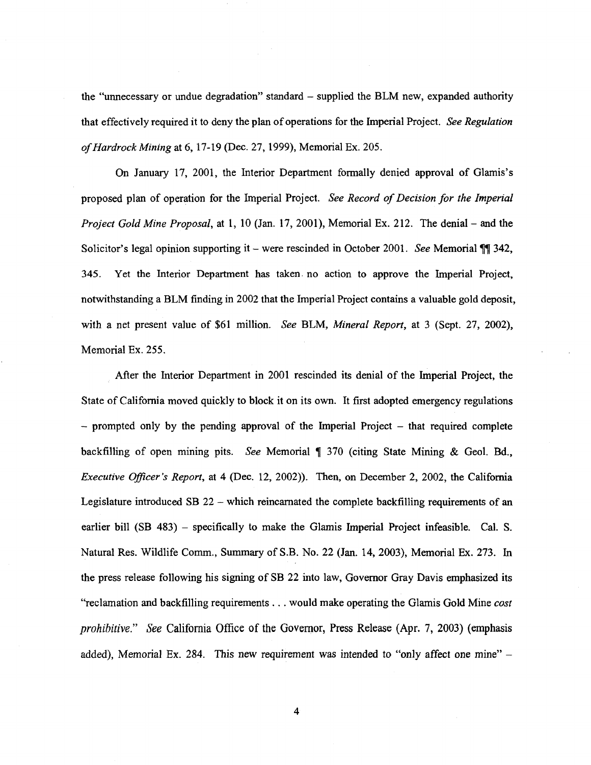the "unnecessary or undue degradation" standard – supplied the BLM new, expanded authority that effectively required it to deny the plan of operations for the Imperial Project. *See Regulation of Hardrock Mining* at 6, 17-19 (Dec. 27, 1999), Memorial Ex. 205.

On January 17, 2001, the Interior Department formally denied approval of Glamis's proposed plan of operation for the Imperial Project. *See Record of Decision for the Imperial Project Gold Mine Proposal,* at 1, 10 (Jan. 17, 2001), Memorial Ex. 212. The denial – and the Solicitor's legal opinion supporting it – were rescinded in October 2001. *See* Memorial ¶¶ 342, 345. Yet the Interior Department has taken. no action to approve the Imperial Project, notwithstanding a BLM finding in 2002 that the Imperial Project contains a valuable gold deposit, with a net present value of \$61 million. *See* BLM, *Mineral Report,* at 3 (Sept. 27, 2002), Memorial Ex. 255.

After the Interior Department in 2001 rescinded its denial of the Imperial Project, the State of California moved quickly to block it on its own. It first adopted emergency regulations – prompted only by the pending approval of the Imperial Project – that required complete backfilling of open mining pits. *See* Memorial ¶ 370 (citing State Mining & Geol. Bd., *Executive Officer's Report,* at 4 (Dec. 12, 2002)). Then, on December 2, 2002, the California Legislature introduced SB 22 – which reincarnated the complete backfilling requirements of an earlier bill (SB 483) – specifically to make the Glamis Imperial Project infeasible. Cal. S. Natural Res. Wildlife Comm., Summary of S.B. No. 22 (Jan. 14, 2003), Memorial Ex. 273. In the press release following his signing of SB 22 into law, Governor Gray Davis emphasized its "reclamation and backfilling requirements . . . would make operating the Glamis Gold Mine *cost prohibitive." See* California Office of the Governor, Press Release (Apr. 7, 2003) (emphasis added), Memorial Ex. 284. This new requirement was intended to "only affect one mine" –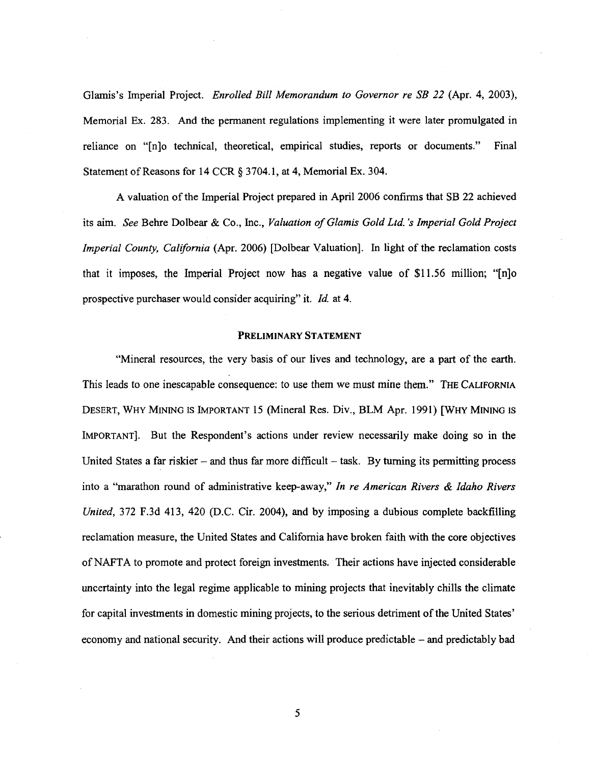Glamis's Imperial Project. *Enrolled Bill Memorandum to Governor re SB 22* (Apr. 4, 2003), Memorial Ex. 283. And the permanent regulations implementing it were later promulgated in reliance on "[n]o technical, theoretical, empirical studies, reports or documents." Final Statement of Reasons for 14 CCR § 3704.1, at 4, Memorial Ex. 304.

A valuation of the Imperial Project prepared in April 2006 confirms that SB 22 achieved *its* aim. *See* Behre Dolbear & Co., Inc., *Valuation of Glamis Gold Ltd. 's Imperial Gold Project Imperial County, California* (Apr. 2006) [Dolbear Valuation]. In light of the reclamation costs that it imposes, the Imperial Project now has a negative value of \$11.56 million; "[n]o prospective purchaser would consider acquiring" it. *Id. at* 4.

#### **PRELIMINARY STATEMENT**

"Mineral resources, the very basis of our lives and technology, are a part of the earth. This leads to one inescapable consequence: to use them we must mine them." THE CALIFORNIA DESERT, WHY MINING IS IMPORTANT 15 (Mineral Res. Div., BLM Apr. 1991) [WHY MINING IS IMPORTANT]. But the Respondent's actions under review necessarily make doing so in the United States a far riskier – and thus far more difficult – task. By turning its permitting process into a "marathon round of administrative keep-away," *In re American Rivers & Idaho Rivers United,* 372 F.3d 413, 420 (D.C. Cir. 2004), and by imposing a dubious complete backfilling reclamation measure, the United States and California have broken faith with the core objectives of NAFTA to promote and protect foreign investments. Their actions have injected considerable uncertainty into the legal regime applicable to mining projects that inevitably chills the climate for capital investments in domestic mining projects, to the serious detriment of the United States' economy and national security. And their actions will produce predictable – and predictably bad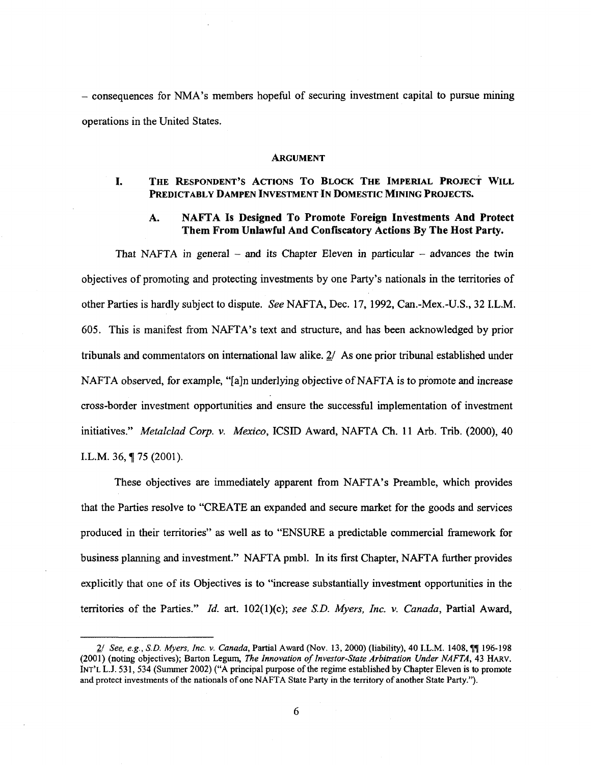– consequences for NMA's members hopeful of securing investment capital to pursue mining operations in the United States. **I.** THE RESPONDENT'S ACTIONS TO BLOCK THE IMPERIAL PROJECT WILL<br> **I.** THE RESPONDENT'S ACTIONS TO BLOCK THE IMPERIAL PROJECT WILL<br> **PREDICTABLY DAMPEN INVESTMENT IN DOMESTIC MINING PROJECTS.** S for NMA's members hopeful of securing investment capital to pursue mining<br> **ARGUMENT**<br> **ARGUMENT**<br> **ARGUMENT**<br> **ARGUMENT**<br> **ARGUMENT**<br> **ARGUMENT**<br> **ARGUMENT**<br> **ARGUMENT**<br> **ARGUMENT**<br> **ARGUMENTIAN INDOMESTIC MINING PROJEC** 

#### **ARGUMENT**

# **PREDICTABLY DAMPEN INVESTMENT IN DOMESTIC MINING PROJECTS.**

### **Them From Unlawful And Confiscatory Actions By The Host Party.**

That NAFTA in general – and its Chapter Eleven in particular – advances the twin objectives of promoting and protecting investments by one Party's nationals in the territories of other Parties is hardly subject to dispute. *See* NAFTA, Dec. 17, 1992, Can.-Mex.-U.S., 32 I.L.M. 605. This is manifest from NAFTA's text and structure, and has been acknowledged by prior tribunals and commentators on international law alike. *21* As one prior tribunal established under NAFTA observed, for example, "[a]n underlying objective of NAFTA is to promote and increase cross-border investment opportunities and ensure the successful implementation of investment initiatives." *Metalclad Corp. v. Mexico,* ICSID Award, NAFTA Ch. 11 Arb. Trib. (2000), 40 I.L.M. 36,  $\P$  75 (2001).

These objectives are immediately apparent from NAFTA's Preamble, which provides that the Parties resolve to "CREATE an expanded and secure market for the goods and services produced in their territories" as well as to "ENSURE a predictable commercial framework for business planning and investment." NAFTA pmbl. In its first Chapter, NAFTA further provides explicitly that one of its Objectives is to "increase substantially investment opportunities in the territories of the Parties." *Id. art.* 102(1)(c); *see S.D. Myers, Inc. v. Canada,* Partial Award,

<sup>2/</sup> *See, e.g., S.D. Myers, Inc. v. Canada,* Partial Award (Nov. 13, 2000) (liability), 40 I.L.M. 1408, ¶¶ 196-198 (2001) (noting objectives); Barton Legum, *The Innovation of Investor-State Arbitration Under NAFTA,* 43 HARv. INT'L L.J. 531, 534 (Summer 2002) ("A principal purpose of the regime established by Chapter Eleven is to promote and protect investments of the nationals of one NAFTA State Party in the territory of another State Party.").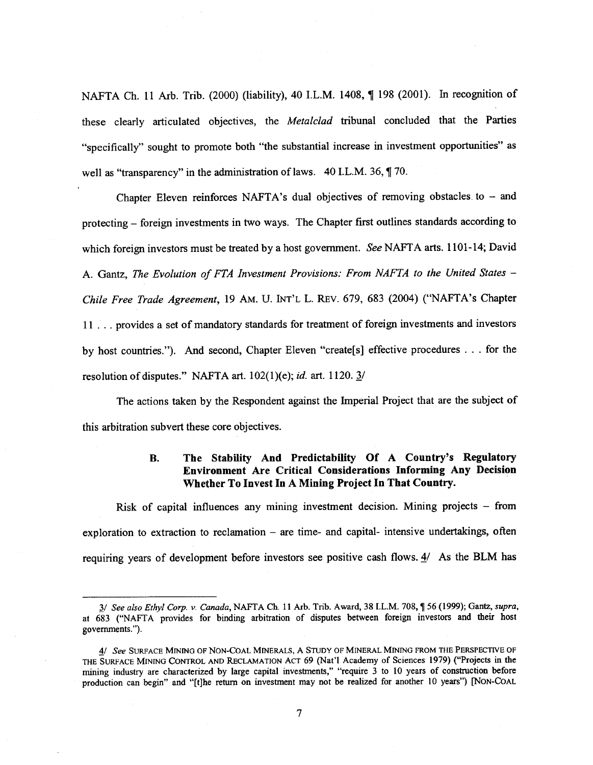NAFTA Ch. 11 Arb. Trib. (2000) (liability), 40 I.L.M. 1408, ¶ 198 (2001). In recognition of these clearly articulated objectives, the *Metalclad* tribunal concluded that the Parties "specifically" sought to promote both "the substantial increase in investment opportunities" as well as "transparency" in the administration of laws. 40 I.L.M. 36,  $\sqrt{ }70$ .

Chapter Eleven reinforces NAFTA's dual objectives of removing obstacles to  $-$  and protecting – foreign investments in two ways. The Chapter first outlines standards according to which foreign investors must be treated by a host government. *See* NAFTA arts. 1101-14; David A. Gantz, *The Evolution of FTA Investment Provisions: From NAFTA to the United States – Chile Free Trade Agreement,* 19 AM. U. INT'L L. REV. 679, 683 (2004) ("NAFTA's Chapter 11 . .. provides a set of mandatory standards for treatment of foreign investments and investors by host countries."). And second, Chapter Eleven "create[s] effective procedures . . . for the resolution of disputes." NAFTA art. 102(1)(e); *id.* art. 1120. 3/

The actions taken by the Respondent against the Imperial Project that are the subject of this arbitration subvert these core objectives.

### **B. The Stability And Predictability Of A Country's Regulatory Environment Are Critical Considerations Informing Any Decision Whether To Invest In A Mining Project In That Country.**

Risk of capital influences any mining investment decision. Mining projects – from exploration to extraction to reclamation – are time- and capital- intensive undertakings, often requiring years of development before investors see positive cash flows. 4/ As the BLM has

<sup>3/</sup> *See also Ethyl Corp. v. Canada,* NAFTA Ch. 11 Arb. Trib. Award, 38 I.L.M. 708, 1156 (1999); Gantz, *supra, at* 683 ("NAFTA provides for binding arbitration of disputes between foreign investors and their host governments.").

<sup>4/</sup> *See* SURFACE MINING OF NON-COAL MINERALS, A STUDY OF MINERAL MINING FROM THE PERSPECTIVE OF THE SURFACE MINING CONTROL AND RECLAMATION ACT 69 (Nat'l Academy of Sciences 1979) ("Projects in the mining industry are characterized by large capital investments," "require 3 to 10 years of construction before production can begin" and "[t]he return on investment may not be realized for another 10 years") [NON-COAL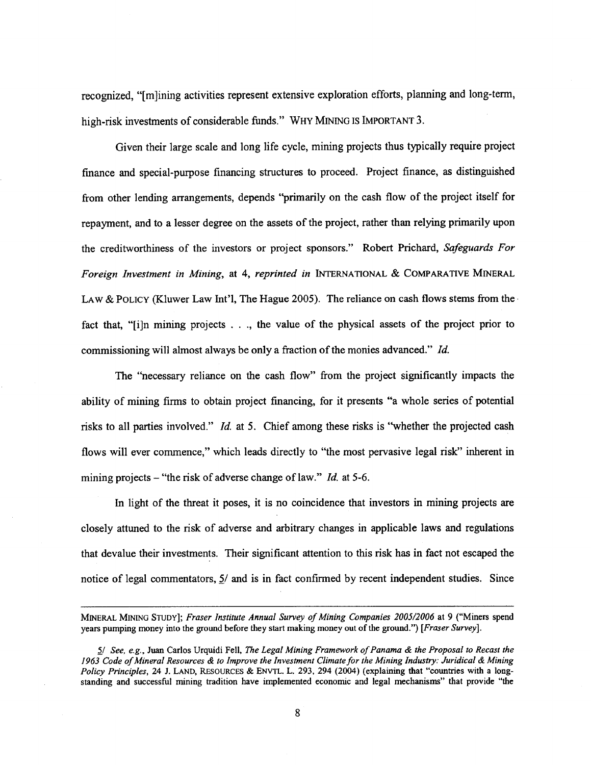recognized, "[m]ining activities represent extensive exploration efforts, planning and long-term, high-risk investments of considerable funds." WHY MINING IS IMPORTANT 3.

Given their large scale and long life cycle, mining projects thus typically require project finance and special-purpose financing structures to proceed. Project finance, as distinguished from other lending arrangements, depends "primarily on the cash flow of the project itself for repayment, and to a lesser degree on the assets of the project, rather than relying primarily upon the creditworthiness of the investors or project sponsors." Robert Prichard, *Safeguards For Foreign Investment in Mining, at* 4, *reprinted in* INTERNATIONAL & COMPARATIVE MINERAL LAW & POLICY (Kluwer Law Int'l, The Hague 2005). The reliance on cash flows stems from the fact that, "[i]n mining projects . . ., the value of the physical assets of the project prior to commissioning will almost always be only a fraction of the monies advanced." *Id.*

The "necessary reliance on the cash flow" from the project significantly impacts the ability of mining firms to obtain project financing, for it presents "a whole series of potential risks to all parties involved." *Id.* at 5. Chief among these risks is "whether the projected cash flows will ever commence," which leads directly to "the most pervasive legal risk" inherent in mining projects – "the risk of adverse change of law." *Id. at* 5-6.

In light of the threat it poses, it is no coincidence that investors in mining projects are closely attuned to the risk of adverse and arbitrary changes in applicable laws and regulations that devalue their investments. Their significant attention to this risk has in fact not escaped the notice of legal commentators,  $5/$  and is in fact confirmed by recent independent studies. Since

MINERAL MINING STUDY]; *Fraser Institute Annual Survey of Mining Companies 2005/2006 at* 9 ("Miners spend years pumping money into the ground before they start making money out of the ground.") *[Fraser Survey].*

*<sup>5/</sup> See, e.g., Juan* Carlos Urquidi Fell, *The Legal Mining Framework of Panama & the Proposal to Recast the 1963 Code of Mineral Resources & to Improve the Investment Climate for the Mining Industry: Juridical & Mining Policy Principles,* 24 J. LAND, RESOURCES & ENVTL. L. 293, 294 (2004) (explaining that "countries with a longstanding and successful mining tradition have implemented economic and legal mechanisms" that provide "the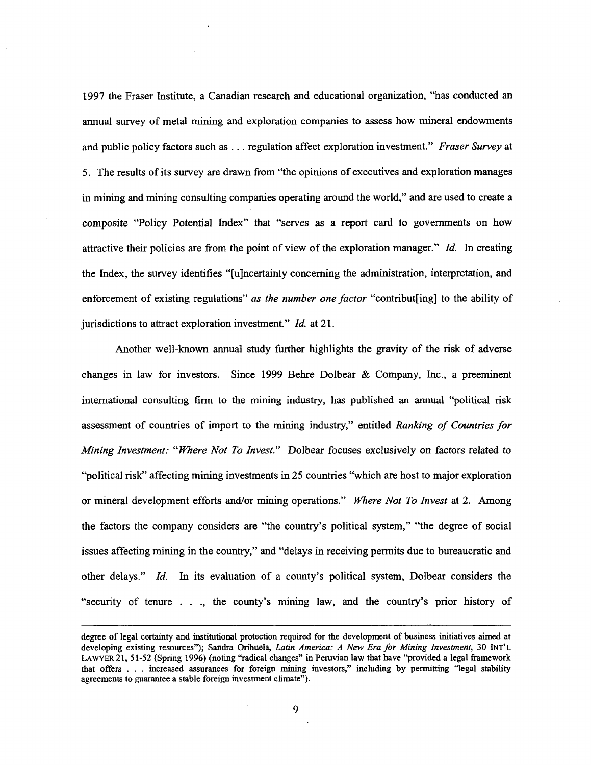1997 the Fraser Institute, a Canadian research and educational organization, "has conducted an annual survey of metal mining and exploration companies to assess how mineral endowments and public policy factors such *as . . .* regulation affect exploration investment." *Fraser Survey at* 5. The results of its survey are drawn from "the opinions of executives and exploration manages in mining and mining consulting companies operating around the world," and are used to create a composite "Policy Potential Index" that "serves as a report card to governments on how attractive their policies are from the point of view of the exploration manager." *Id.* In creating the Index, the survey identifies "[u]ncertainty concerning the administration, interpretation, and enforcement of existing regulations" *as the number one factor* "contribut [ing] to the ability of jurisdictions to attract exploration investment." *Id. at* 21.

Another well-known annual study further highlights the gravity of the risk of adverse changes in law for investors. Since 1999 Behre Dolbear & Company, Inc., a preeminent international consulting firm to the mining industry, has published an annual "political risk assessment of countries of import to the mining industry," entitled *Ranking of Countries for Mining Investment: "Where Not To Invest."* Dolbear focuses exclusively on factors related to "political risk" affecting mining investments in 25 countries "which are host to major exploration or mineral development efforts and/or mining operations." *Where Not To Invest* at 2. Among the factors the company considers are "the country's political system," "the degree of social issues affecting mining in the country," and "delays in receiving permits due to bureaucratic and other delays." *Id.* In its evaluation of a county's political system, Dolbear considers the "security of tenure . . ., the county's mining law, and the country's prior history of

degree of legal certainty and institutional protection required for the development of business initiatives aimed at developing existing resources"); Sandra Orihuela, *Latin America: A New Era for Mining Investment,* 30 INT'L LAWYER 21, 51-52 (Spring 1996) (noting "radical changes" in Peruvian law that have "provided a legal framework that offers . . . increased assurances for foreign mining investors," including by permitting "legal stability agreements to guarantee a stable foreign investment climate").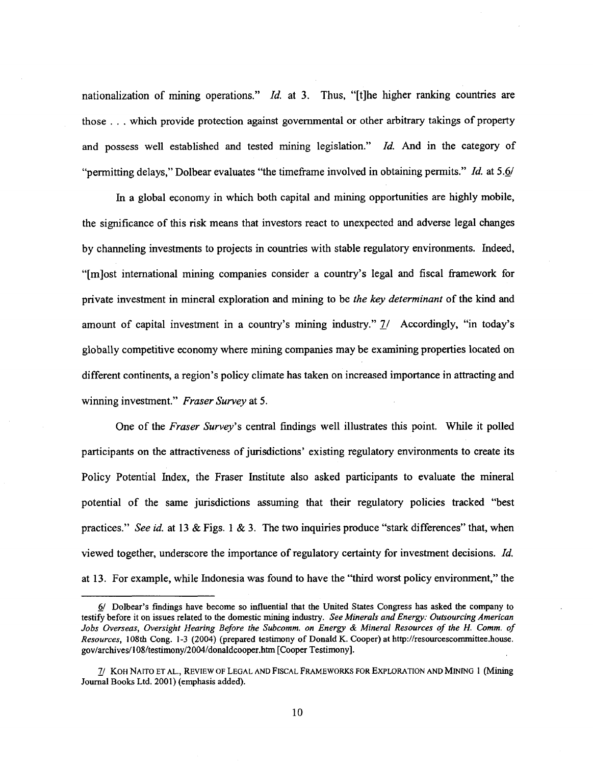nationalization of mining operations." *Id.* at 3. Thus, "[t]he higher ranking countries are those . . . which provide protection against governmental or other arbitrary takings of property and possess well established and tested mining legislation." *Id.* And in the category of "permitting delays," Dolbear evaluates "the timeframe involved in obtaining permits." *Id.* at 5.6/

In a global economy in which both capital and mining opportunities are highly mobile, the significance of this risk means that investors react to unexpected and adverse legal changes by channeling investments to projects in countries with stable regulatory environments. Indeed, "[m]ost international mining companies consider a country's legal and fiscal framework for private investment in mineral exploration and mining to be *the key determinant* of the kind and amount of capital investment in a country's mining industry." 7/ Accordingly, "in today's globally competitive economy where mining companies may be examining properties located on different continents, a region's policy climate has taken on increased importance in attracting and winning investment." *Fraser Survey at 5.*

One of the *Fraser Survey's* central findings well illustrates this point. While it polled participants on the attractiveness of jurisdictions' existing regulatory environments to create its Policy Potential Index, the Fraser Institute also asked participants to evaluate the mineral potential of the same jurisdictions assuming that their regulatory policies tracked "best practices." *See id. at* 13 & Figs. 1 & 3. The two inquiries produce "stark differences" that, when viewed together, underscore the importance of regulatory certainty for investment decisions. *Id.* at 13. For example, while Indonesia was found to have the "third worst policy environment," the

<sup>6/</sup> Dolbear's findings have become so influential that the United States Congress has asked the company to testify before it on issues related to the domestic mining industry. *See Minerals and Energy: Outsourcing American Jobs Overseas, Oversight Hearing Before the Subcomm. on Energy & Mineral Resources of the H. Comm. of Resources,* 108th Cong. 1-3 (2004) (prepared testimony of Donald K. Cooper) at http://resourcescommittee.house. gov/archives/108/testimony/2004/donaldcooper.htm [Cooper Testimony].

*<sup>71</sup>* KOH NAITO ET AL., REVIEW OF LEGAL AND FISCAL FRAMEWORKS FOR EXPLORATION AND MINING 1 (Mining Journal Books Ltd. 2001) (emphasis added).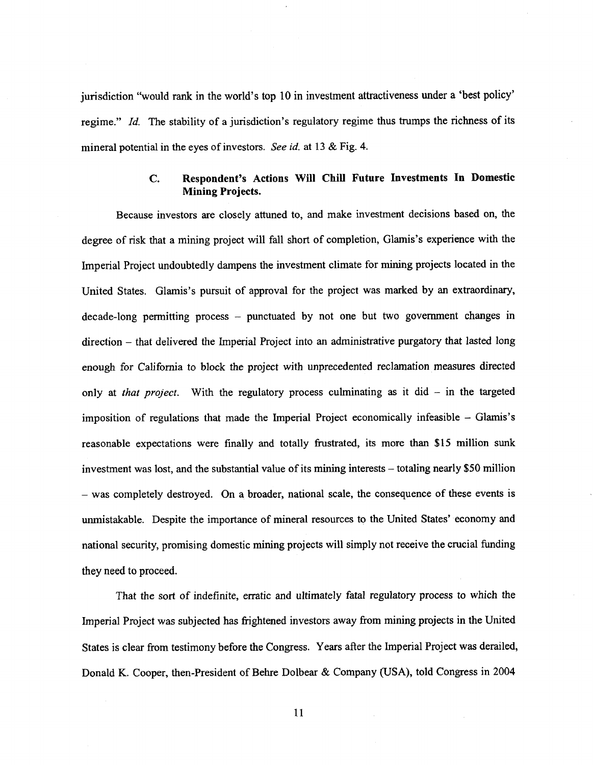jurisdiction "would rank in the world's top 10 in investment attractiveness under a 'best policy' regime." *Id.* The stability of a jurisdiction's regulatory regime thus trumps the richness of its mineral potential in the eyes of investors. *See id.* at 13 & Fig. 4. ould rank in the world's top 10 in investment attractiveness under a 'best policy'<br>The stability of a jurisdiction's regulatory regime thus trumps the richness of its<br>al in the eyes of investors. *See id.* at 13 & Fig. 4.<br>

## **Mining Projects.**

Because investors are closely attuned to, and make investment decisions based on, the degree of risk that a mining project will fall short of completion, Glamis's experience with the Imperial Project undoubtedly dampens the investment climate for mining projects located in the United States. Glamis's pursuit of approval for the project was marked by an extraordinary, decade-long permitting process — punctuated by not one but two government changes in direction — that delivered the Imperial Project into an administrative purgatory that lasted long enough for California to block the project with unprecedented reclamation measures directed only at *that project.* With the regulatory process culminating as it did — in the targeted imposition of regulations that made the Imperial Project economically infeasible — Glamis's reasonable expectations were finally and totally frustrated, its more than \$15 million sunk investment was lost, and the substantial value of its mining interests — totaling nearly \$50 million — was completely destroyed. On a broader, national scale, the consequence of these events is unmistakable. Despite the importance of mineral resources to the United States' economy and national security, promising domestic mining projects will simply not receive the crucial funding they need to proceed.

That the sort of indefinite, erratic and ultimately fatal regulatory process to which the Imperial Project was subjected has frightened investors away from mining projects in the United States is clear from testimony before the Congress. Years after the Imperial Project was derailed, Donald K. Cooper, then-President of Behre Dolbear & Company (USA), told Congress in 2004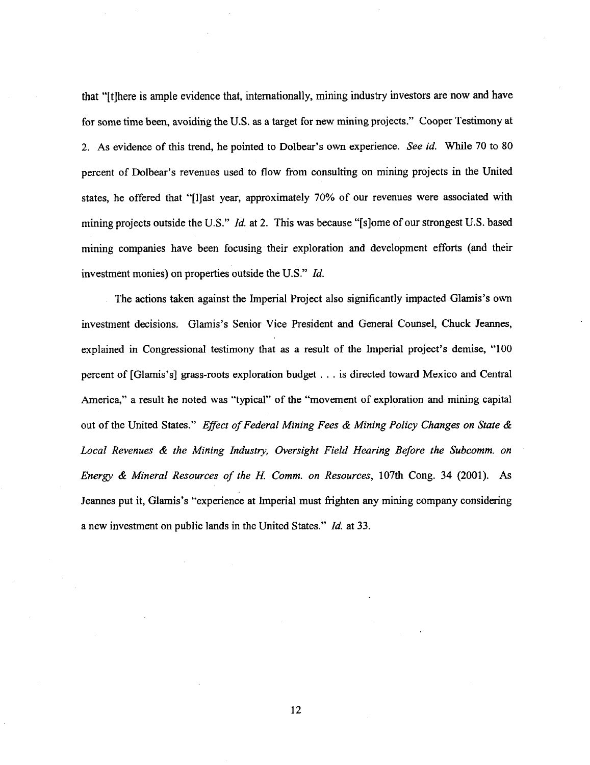that "[t]here is ample evidence that, internationally, mining industry investors are now and have for some time been, avoiding the U.S. as a target for new mining projects." Cooper Testimony at 2. As evidence of this trend, he pointed to Dolbear's own experience. *See id.* While 70 to 80 percent of Dolbear's revenues used to flow from consulting on mining projects in the United states, he offered that "[I]ast year, approximately 70% of our revenues were associated with mining projects outside the U.S." *Id. at* 2. This was because "[s]ome of our strongest U.S. based mining companies have been focusing their exploration and development efforts (and their investment monies) on properties outside the U.S." *Id.*

The actions taken against the Imperial Project also significantly impacted Glamis's own investment decisions. Glamis's Senior Vice President and General Counsel, Chuck Jeannes, explained in Congressional testimony that as a result of the Imperial project's demise, "100 percent of [Glamis's] grass-roots exploration budget . . . is directed toward Mexico and Central America," a result he noted was "typical" of the "movement of exploration and mining capital out of the United States." *Effect of Federal Mining Fees & Mining Policy Changes on State & Local Revenues & the Mining Industry, Oversight Field Hearing Before the Subcomm. on Energy & Mineral Resources of the H. Comm. on Resources,* 107th Cong. 34 (2001). As Jeannes put it, Glamis's "experience at Imperial must frighten any mining company considering a new investment on public lands in the United States." *Id.* at 33.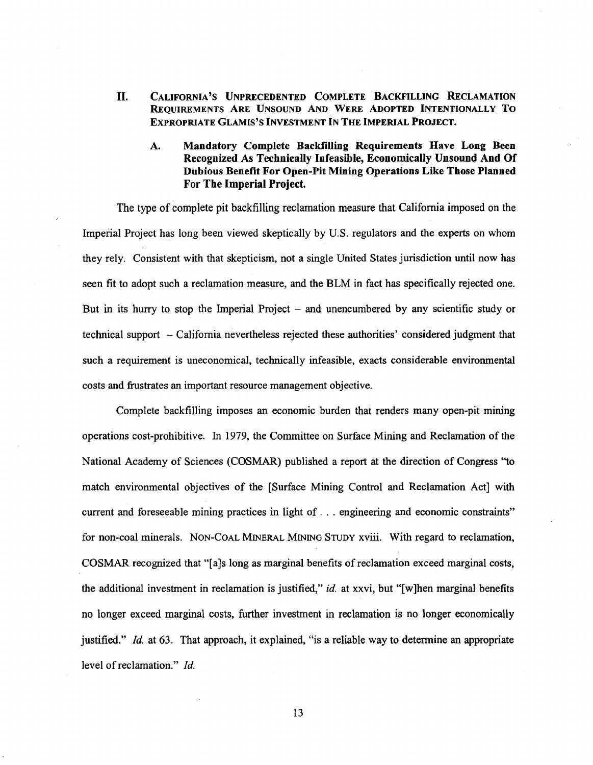- **II. CALIFORNIA'S UNPRECEDENTED COMPLETE BACKFILLING RECLAMATION REQUIREMENTS ARE UNSOUND AND WERE ADOPTED INTENTIONALLY To EXPROPRIATE GLAMIS'S INVESTMENT IN THE IMPERIAL PROJECT.**
	- **A. Mandatory Complete Backfilling Requirements Have Long Been Recognized As Technically Infeasible, Economically Unsound And Of Dubious Benefit For Open -Pit Mining Operations Like Those Planned For The Imperial Project.**

The type of complete pit backfilling reclamation measure that California imposed on the Imperial Project has long been viewed skeptically by U.S. regulators and the experts on whom they rely. Consistent with that skepticism, not a single United States jurisdiction until now has seen fit to adopt such a reclamation measure, and the BLM in fact has specifically rejected one. But in its hurry to stop the Imperial Project — and unencumbered by any scientific study or technical support — California nevertheless rejected these authorities' considered judgment that such a requirement is uneconomical, technically infeasible, exacts considerable environmental costs and frustrates an important resource management objective.

Complete backfilling imposes an economic burden that renders many open-pit mining operations cost-prohibitive. In 1979, the Committee on Surface Mining and Reclamation of the National Academy of Sciences (COSMAR) published a report at the direction of Congress "to match environmental objectives of the [Surface Mining Control and Reclamation Act] with current and foreseeable mining practices in light of . . . engineering and economic constraints" for non-coal minerals. NON-COAL MINERAL MINING STUDY xviii. With regard to reclamation, COSMAR recognized that "[a]s long *as* marginal benefits of reclamation exceed marginal costs, the additional investment in reclamation is justified," *id.* at xxvi, but "[w]hen marginal benefits no longer exceed marginal costs, further investment in reclamation is no longer economically justified." *Id.* at 63. That approach, it explained, "is a reliable way to determine an appropriate level of reclamation." *Id.*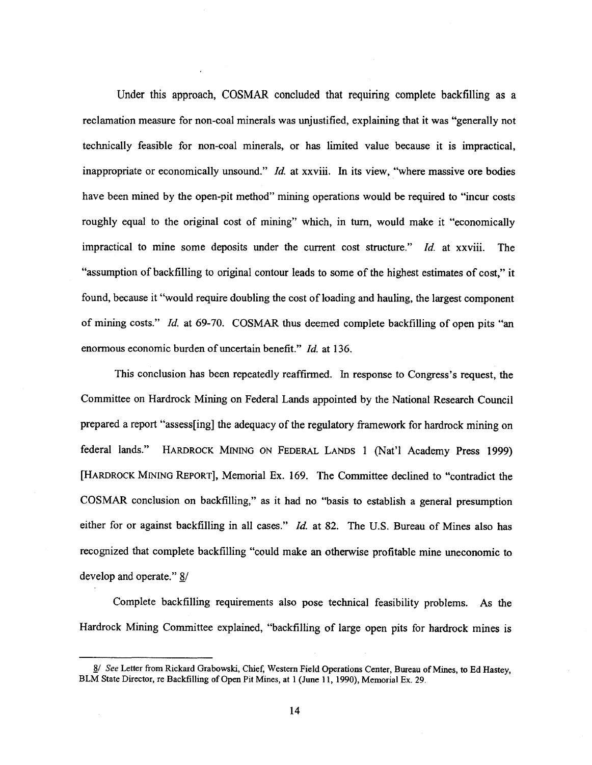Under this approach, COSMAR concluded that requiring complete backfilling as a reclamation measure for non-coal minerals was unjustified, explaining that it was "generally not technically feasible for non-coal minerals, or has limited value because it is impractical, inappropriate or economically unsound." *Id.* at xxviii. In its view, "where massive ore bodies have been mined by the open-pit method" mining operations would be required to "incur costs roughly equal to the original cost of mining" which, in turn, would make it "economically impractical to mine some deposits under the current cost structure." *Id.* at xxviii. The "assumption of backfilling to original contour leads to some of the highest estimates of cost," it found, because it "would require doubling the cost of loading and hauling, the largest component of mining costs." *Id.* at 69-70. COSMAR thus deemed complete backfilling of open pits "an enormous economic burden of uncertain benefit." *Id.* at 136.

This conclusion has been repeatedly reaffirmed. In response to Congress's request, the Committee on Hardrock Mining on Federal Lands appointed by the National Research Council prepared a report "assess[ing] the adequacy of the regulatory framework for hardrock mining on federal lands." HARDROCK MINING ON FEDERAL LANDS 1 (Nat'l Academy Press 1999) [HARDROCK MINING REPORT], Memorial Ex. 169. The Committee declined to "contradict the COSMAR conclusion on backfilling," as it had no "basis to establish a general presumption either for or against backfilling in all cases." *Id.* at 82. The U.S. Bureau of Mines also has recognized that complete backfilling "could make an otherwise profitable mine uneconomic to develop and operate." 8/

Complete backfilling requirements also pose technical feasibility problems. As the Hardrock Mining Committee explained, "backfilling of large open pits for hardrock mines is

<sup>8/</sup> *See* Letter from Rickard Grabowski, Chief, Western Field Operations Center, Bureau of Mmes, to Ed Hastey, BLM State Director, re Backfilling of Open Pit Mines, at 1 (June 11, 1990), Memorial Ex. 29.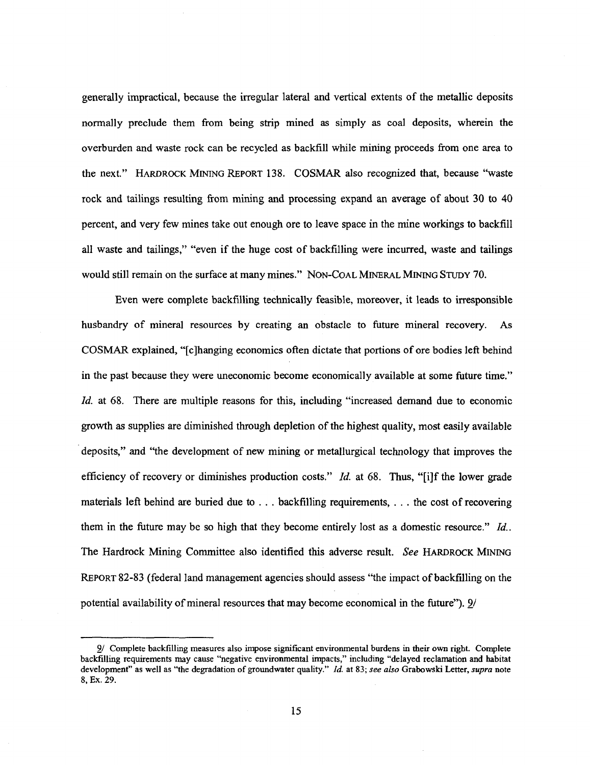generally impractical, because the irregular lateral and vertical extents of the metallic deposits normally preclude them from being strip mined as simply as coal deposits, wherein the overburden and waste rock can be recycled as backfill while mining proceeds from one area to the next." HARDROCK MINING REPORT 138. COSMAR also recognized that, because "waste rock and tailings resulting from mining and processing expand an average of about 30 to 40 percent, and very few mines take out enough ore to leave space in the mine workings to backfill all waste and tailings," "even if the huge cost of backfilling were incurred, waste and tailings would still remain on the surface at many mines." NON-COAL MINERAL MINING STUDY 70.

Even were complete backfilling technically feasible, moreover, it leads to irresponsible husbandry of mineral resources by creating an obstacle to future mineral recovery. As COSMAR explained, "[c]hanging economics often dictate that portions of ore bodies left behind in the past because they were uneconomic become economically available at some future time." *id.* at 68. There are multiple reasons for this, including "increased demand due to economic growth as supplies are diminished through depletion of the highest quality, most easily available deposits," and "the development of new mining or metallurgical technology that improves the efficiency of recovery or diminishes production costs." *Id.* at 68. Thus, "[i]f the lower grade materials left behind are buried due to . . . backfilling requirements, . . . the cost of recovering them in the future may be so high that they become entirely lost *as* a domestic resource." *Id..* The Hardrock Mining Committee also identified this adverse result. *See* HARDROCK MINING REPORT 82-83 (federal land management agencies should assess "the impact of backfilling on the potential availability of mineral resources that may become economical in the future"). 9/

<sup>9/</sup> Complete backfilling measures also impose significant environmental burdens in their own right. Complete backfilling requirements may cause "negative environmental impacts," including "delayed reclamation and habitat development" as well as "the degradation of groundwater quality." *Id.* at 83; *see also* Grabowski Letter, *supra* note 8, Ex. 29.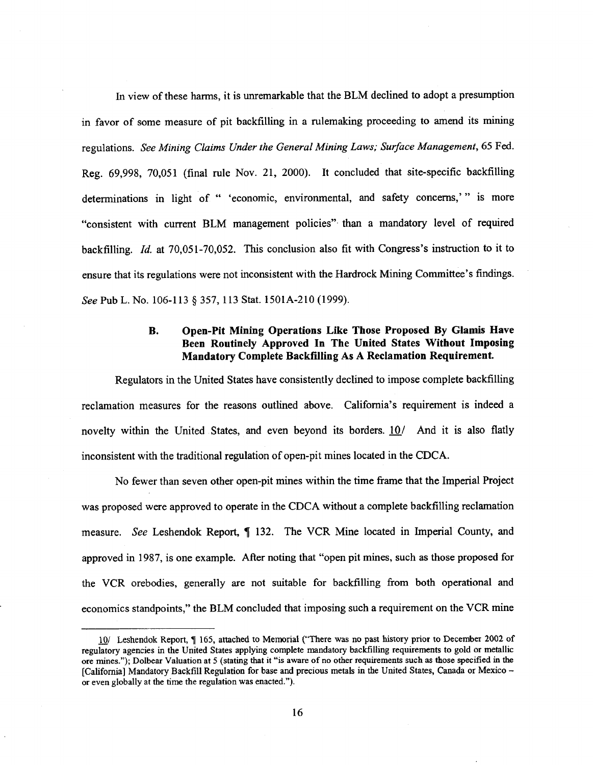In view of these harms, it is unremarkable that the BLM declined to adopt a presumption in favor of some measure of pit backfilling in a rulemaking proceeding to amend its mining regulations. *See Mining Claims Under the General Mining Laws; Surface Management,* 65 Fed. Reg. 69,998, 70,051 (final rule Nov. 21, 2000). It concluded that site-specific backfilling determinations in light of " 'economic, environmental, and safety concerns,'" is more "consistent with current BLM management policies" than a mandatory level of required backfilling. *Id.* at 70,051-70,052. This conclusion also fit with Congress's instruction to it to ensure that its regulations were not inconsistent with the Hardrock Mining Committee's findings. *See* Pub L. No. 106-113 § 357, 113 Stat. 1501A-210 (1999).

### **B. Open-Pit Mining Operations Like Those Proposed By Glamis Have Been Routinely Approved In The United States Without Imposing Mandatory Complete Backfilling** As A **Reclamation Requirement.**

Regulators in the United States have consistently declined to impose complete backfilling reclamation measures for the reasons outlined above. California's requirement is indeed a novelty within the United States, and even beyond its borders. 10/ And it is also flatly inconsistent with the traditional regulation of open-pit mines located in the CDCA.

No fewer than seven other open-pit mines within the time frame that the Imperial Project was proposed were approved to operate in the CDCA without a complete backfilling reclamation measure. *See* Leshendok Report, ¶ 132. The VCR Mine located in Imperial County, and approved in 1987, is one example. After noting that "open pit mines, such as those proposed for the VCR orebodies, generally are not suitable for backfilling from both operational and economics standpoints," the BLM concluded that imposing such a requirement on the VCR mine

<sup>10/</sup> Leshendok Report, ¶ 165, attached to Memorial ("There was no past history prior to December 2002 of regulatory agencies in the United States applying complete mandatory backfilling requirements to gold or metallic ore mines."); Dolbear Valuation at 5 (stating that it "is aware of no other requirements such *as* those specified in the [California] Mandatory Backfill Regulation for base and precious metals in the United States, Canada or Mexico or even globally at the time the regulation was enacted.").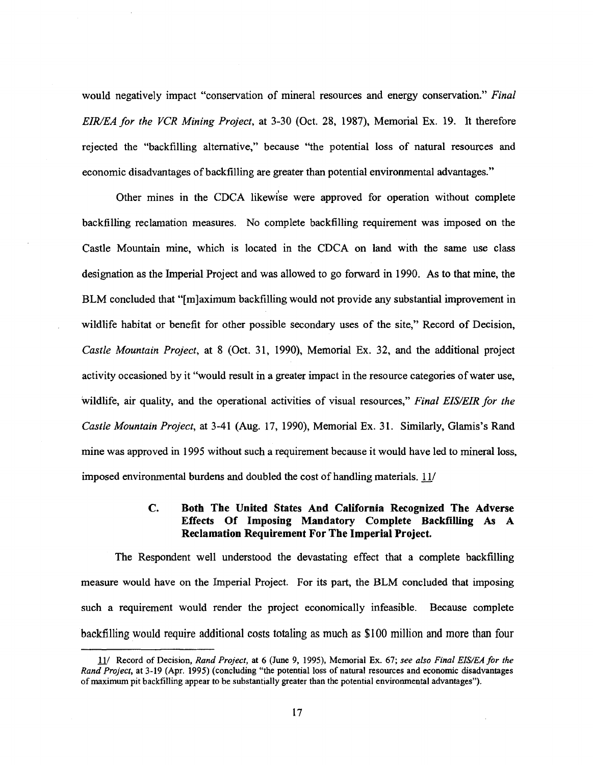would negatively impact "conservation of mineral resources and energy conservation." *Final EIR/EA for the VCR Mining Project, at* 3-30 (Oct. 28, 1987), Memorial Ex. 19. It therefore rejected the "backfilling alternative," because "the potential loss of natural resources and economic disadvantages of backfilling are greater than potential environmental advantages."

Other mines in the CDCA likewise were approved for operation without complete backfilling reclamation measures. No complete backfilling requirement was imposed on the Castle Mountain mine, which is located in the CDCA on land with the same use class designation as the Imperial Project and was allowed to go forward in 1990. As to that mine, the BLM concluded that "[m]aximum backfilling would not provide any substantial improvement in wildlife habitat or benefit for other possible secondary uses of the site," Record of Decision, *Castle Mountain Project,* at 8 (Oct. 31, 1990), Memorial Ex. 32, and the additional project activity occasioned by it "would result in a greater impact in the resource categories of water use, Wildlife, air quality, and the operational activities of visual resources," *Final EIS/EIR for the Castle Mountain Project,* at 3-41 (Aug. 17, 1990), Memorial Ex. 31. Similarly, Glamis's Rand mine was approved in 1995 without such a requirement because it would have led to mineral loss, imposed environmental burdens and doubled the cost of handling materials. 11/

### **C. Both The United States And California Recognized The Adverse Effects Of Imposing Mandatory Complete Backfilling As A Reclamation Requirement For The Imperial Project.**

The Respondent well understood the devastating effect that a complete backfilling measure would have on the Imperial Project. For its part, the BLM concluded that imposing such a requirement would render the project economically infeasible. Because complete backfilling would require additional costs totaling as much as \$100 million and more than four

<sup>11/</sup> Record of Decision, *Rand Project, at* 6 (June 9, 1995), Memorial Ex. 67; *see also Final EIS/EA for the Rand Project, at* 3-19 (Apr. 1995) (concluding "the potential loss of natural resources and economic disadvantages of maximum pit backfilling appear to be substantially greater than the potential environmental advantages").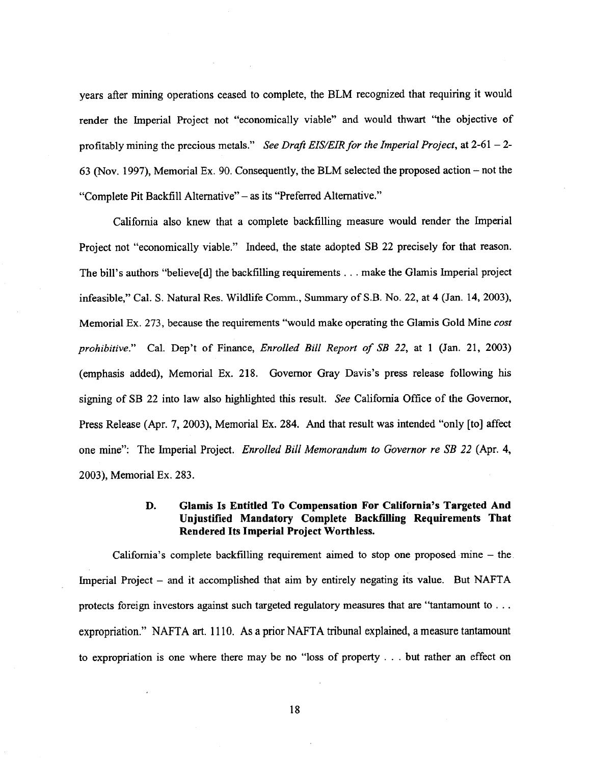years after mining operations ceased to complete, the BLM recognized that requiring it would render the Imperial Project not "economically viable" and would thwart "the objective of profitably mining the precious metals." *See Draft EIS/EIR for the Imperial Project,* at 2-61 – 2- 63 (Nov. 1997), Memorial Ex. 90. Consequently, the BLM selected the proposed action – not the "Complete Pit Backfill Alternative" – as its "Preferred Alternative."

California also knew that a complete backfilling measure would render the Imperial Project not "economically viable." Indeed, the state adopted SB 22 precisely for that reason. The bill's authors "believe[d] the backfilling requirements . . . make the Glamis Imperial project infeasible," Cal. S. Natural Res. Wildlife Comm., Summary of S.B. No. 22, at 4 (Jan. 14, 2003), Memorial Ex. 273, because the requirements "would make operating the Glamis Gold Mine *cost prohibitive."* Cal. Dep't of Finance, *Enrolled Bill Report of SB 22, at* 1 (Jan. 21, 2003) (emphasis added), Memorial Ex. 218. Governor Gray Davis's press release following his signing of SB 22 into law also highlighted this result. *See* California Office of the Governor, Press Release (Apr. 7, 2003), Memorial Ex. 284. And that result was intended "only [to] affect one mine": The Imperial Project. *Enrolled Bill Memorandum to Governor re SB 22* (Apr. 4, 2003), Memorial Ex. 283.

### **D. Glamis Is Entitled To Compensation For California's Targeted And Unjustified Mandatory Complete Backfilling Requirements That Rendered Its Imperial Project Worthless.**

California's complete backfilling requirement aimed to stop one proposed mine – the Imperial Project – and it accomplished that aim by entirely negating its value. But NAFTA protects foreign investors against such targeted regulatory measures that are "tantamount to .. . expropriation." NAFTA art. 1110. As a prior NAFTA tribunal explained, a measure tantamount to expropriation is one where there may be no "loss of property . . . but rather an effect on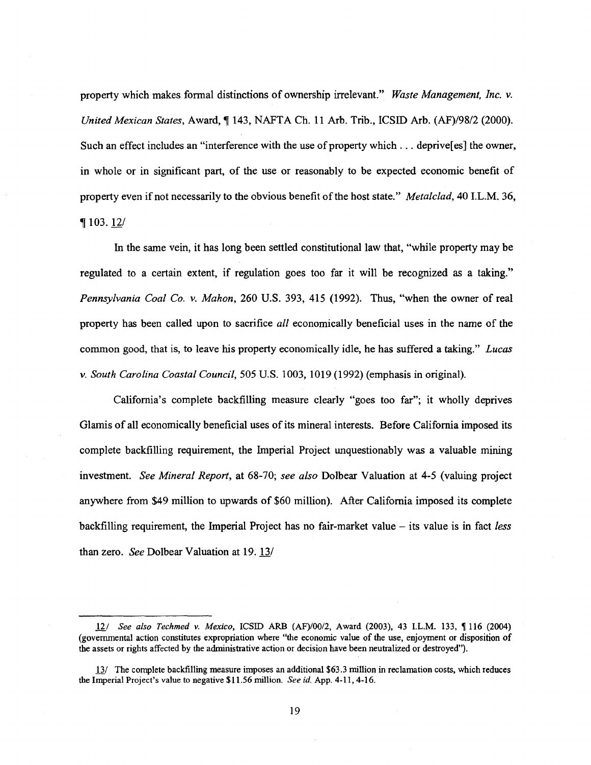property which makes formal distinctions of ownership irrelevant." *Waste Management, inc. v. United Mexican States,* Award, 143, NAFTA Ch. 11 Arb. Trib., ICSID Arb. (AF)/98/2 (2000). Such an effect includes an "interference with the use of property which . . . deprive[es] the owner, in whole or in significant part, of the use or reasonably to be expected economic benefit of property even if not necessarily to the obvious benefit of the host state." *Metalclad,* 40 I.L.M. 36,  $\P$  103. 12/

In the same vein, it has long been settled constitutional law that, "while property may be regulated to a certain extent, if regulation goes too far it will be recognized as a taking." *Pennsylvania Coal Co. v. Mahon,* 260 U.S. 393, 415 (1992). Thus, "when the owner of real property has been called upon to sacrifice *all* economically beneficial uses in the name of the common good, that is, to leave his property economically idle, he has suffered a taking." *Lucas v. South Carolina Coastal Council,* 505 U.S. 1003, 1019 (1992) (emphasis in original).

California's complete backfilling measure clearly "goes too far"; it wholly deprives Glamis of all economically beneficial uses of its mineral interests. Before California imposed its complete backfilling requirement, the Imperial Project unquestionably was a valuable mining investment. *See Mineral Report,* at 68-70; *see also* Dolbear Valuation at 4-5 (valuing project anywhere from \$49 million to upwards of \$60 million). After California imposed its complete backfilling requirement, the Imperial Project has no fair-market value – its value is in fact *less* than zero. *See* Dolbear Valuation at 19. 13/

<sup>12/</sup> *See also Techmed v. Mexico,* ICSID ARB (AF)/00/2, Award (2003), 43 I.L.M. 133, ¶ 116 (2004) (governmental action constitutes expropriation where "the economic value of the use, enjoyment or disposition of the assets or rights affected by the administrative action or decision have been neutralized or destroyed").

<sup>13/</sup> The complete backfilling measure imposes an additional \$63.3 million in reclamation costs, which reduces the Imperial Project's value to negative \$11.56 million. *See id.* App. 4-11, 4-16.